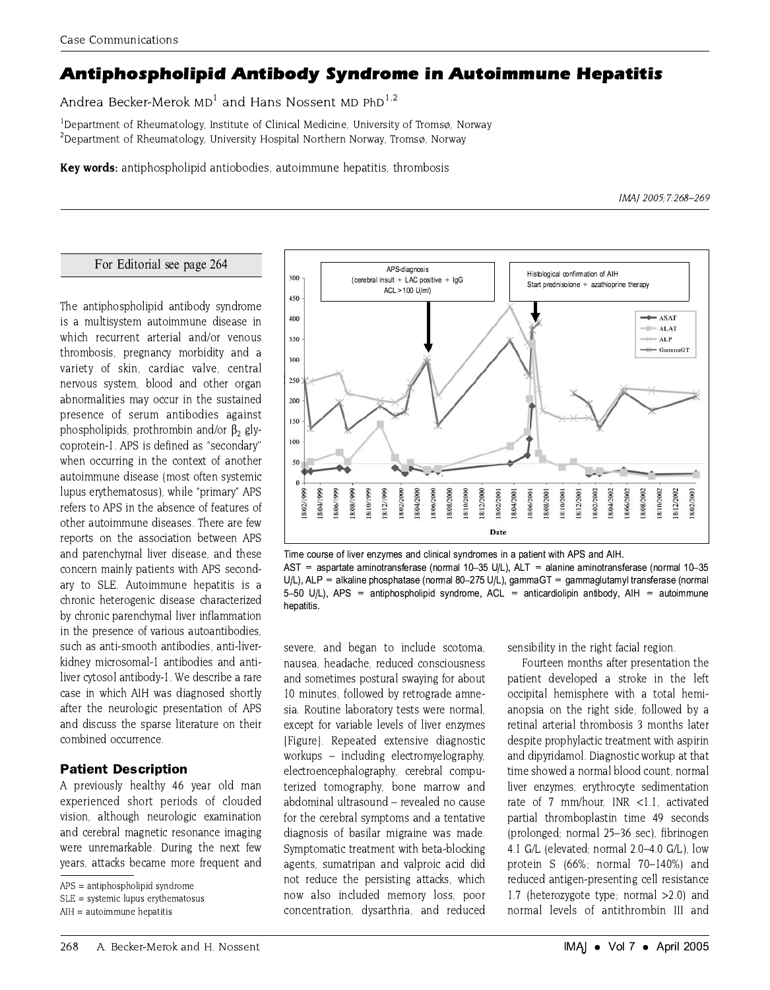# Antiphospholipid Antibody Syndrome in Autoimmune Hepatitis

Andrea Becker-Merok MD<sup>1</sup> and Hans Nossent MD PhD<sup>1,2</sup>

<sup>1</sup>Department of Rheumatology, Institute of Clinical Medicine, University of Tromsø, Norway <sup>2</sup>Department of Rheumatology, University Hospital Northern Norway, Tromsø, Norway

**Key words:** antiphospholipid antiobodies, autoimmune hepatitis, thrombosis

IMAJ 2005; 7:268-269

#### For Editorial see page 264

The antiphospholipid antibody syndrome is a multisystem autoimmune disease in which recurrent arterial and/or venous thrombosis, pregnancy morbidity and a variety of skin, cardiac valve, central nervous system, blood and other organ abnormalities may occur in the sustained presence of serum antibodies against phospholipids, prothrombin and/or  $\beta_2$  glycoprotein-1. APS is defined as "secondary" when occurring in the context of another autoimmune disease (most often systemic lupus erythematosus), while "primary" APS refers to APS in the absence of features of other autoimmune diseases. There are few reports on the association between APS and parenchymal liver disease, and these concern mainly patients with APS secondary to SLE. Autoimmune hepatitis is a chronic heterogenic disease characterized by chronic parenchymal liver inflammation in the presence of various autoantibodies. such as anti-smooth antibodies, anti-liverkidney microsomal-1 antibodies and antiliver cytosol antibody-1. We describe a rare case in which AIH was diagnosed shortly after the neurologic presentation of APS and discuss the sparse literature on their combined occurrence.

## **Patient Description**

A previously healthy 46 year old man experienced short periods of clouded vision, although neurologic examination and cerebral magnetic resonance imaging were unremarkable. During the next few years, attacks became more frequent and



Time course of liver enzymes and clinical syndromes in a patient with APS and AIH. AST = aspartate aminotransferase (normal 10-35 U/L),  $ALT =$  alanine aminotransferase (normal 10-35 U/L), ALP = alkaline phosphatase (normal 80-275 U/L), gammaGT = gammaglutamyl transferase (normal 5-50 U/L). APS = antiphospholipid syndrome. ACL = anticardiolipin antibody. AIH = autoimmune hepatitis.

severe, and began to include scotoma, nausea, headache, reduced consciousness and sometimes postural swaying for about 10 minutes, followed by retrograde amnesia. Routine laboratory tests were normal, except for variable levels of liver enzymes [Figure]. Repeated extensive diagnostic workups – including electromyelography, electroencephalography, cerebral computerized tomography, bone marrow and abdominal ultrasound - revealed no cause for the cerebral symptoms and a tentative diagnosis of basilar migraine was made. Symptomatic treatment with beta-blocking agents, sumatripan and valproic acid did not reduce the persisting attacks, which now also included memory loss, poor concentration, dysarthria, and reduced sensibility in the right facial region.

Fourteen months after presentation the patient developed a stroke in the left occipital hemisphere with a total hemianopsia on the right side, followed by a retinal arterial thrombosis 3 months later despite prophylactic treatment with aspirin and dipyridamol. Diagnostic workup at that time showed a normal blood count, normal liver enzymes, erythrocyte sedimentation rate of 7 mm/hour. INR <1.1. activated partial thromboplastin time 49 seconds (prolonged; normal 25-36 sec), fibrinogen 4.1 G/L (elevated; normal 2.0-4.0 G/L), low protein S (66%; normal 70-140%) and reduced antigen-presenting cell resistance 1.7 (heterozygote type; normal  $>2.0$ ) and normal levels of antithrombin III and

 $APS = antiphospholipid syndrome$ 

 $SLE =$  systemic lupus erythematosus

AIH = autoimmune hepatitis